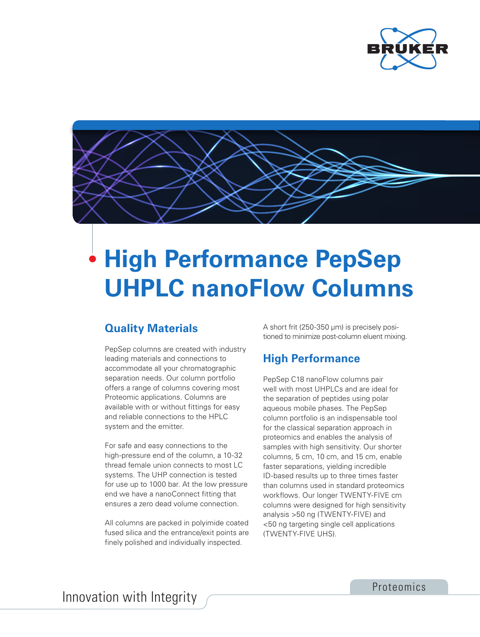



## **High Performance PepSep UHPLC nanoFlow Columns**

## **Quality Materials**

PepSep columns are created with industry leading materials and connections to accommodate all your chromatographic separation needs. Our column portfolio offers a range of columns covering most Proteomic applications. Columns are available with or without fittings for easy and reliable connections to the HPLC system and the emitter.

For safe and easy connections to the high-pressure end of the column, a 10-32 thread female union connects to most LC systems. The UHP connection is tested for use up to 1000 bar. At the low pressure end we have a nanoConnect fitting that ensures a zero dead volume connection.

All columns are packed in polyimide coated fused silica and the entrance/exit points are finely polished and individually inspected.

A short frit (250-350 µm) is precisely positioned to minimize post-column eluent mixing.

## **High Performance**

PepSep C18 nanoFlow columns pair well with most UHPLCs and are ideal for the separation of peptides using polar aqueous mobile phases. The PepSep column portfolio is an indispensable tool for the classical separation approach in proteomics and enables the analysis of samples with high sensitivity. Our shorter columns, 5 cm, 10 cm, and 15 cm, enable faster separations, yielding incredible ID-based results up to three times faster than columns used in standard proteomics workflows. Our longer TWENTY-FIVE cm columns were designed for high sensitivity analysis >50 ng (TWENTY-FIVE) and <50 ng targeting single cell applications (TWENTY-FIVE UHS).

Innovation with Integrity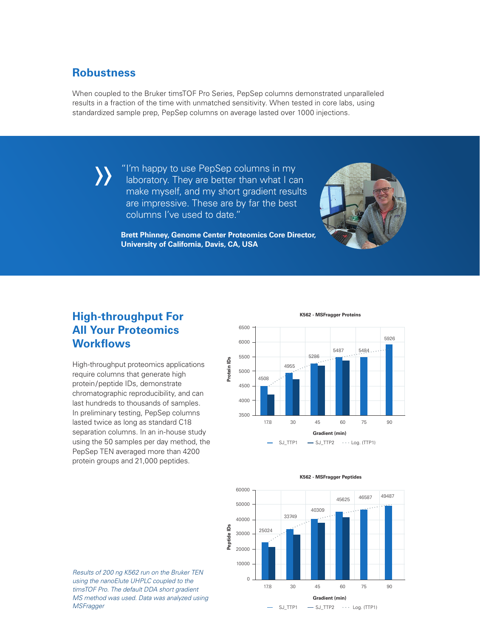#### **Robustness**

»

When coupled to the Bruker timsTOF Pro Series, PepSep columns demonstrated unparalleled results in a fraction of the time with unmatched sensitivity. When tested in core labs, using standardized sample prep, PepSep columns on average lasted over 1000 injections.

> "I'm happy to use PepSep columns in my laboratory. They are better than what I can make myself, and my short gradient results are impressive. These are by far the best columns I've used to date."



**Brett Phinney, Genome Center Proteomics Core Director, University of California, Davis, CA, USA**

## **High-throughput For All Your Proteomics Workflows**

High-throughput proteomics applications require columns that generate high protein/peptide IDs, demonstrate chromatographic reproducibility, and can last hundreds to thousands of samples. In preliminary testing, PepSep columns lasted twice as long as standard C18 separation columns. In an in-house study using the 50 samples per day method, the PepSep TEN averaged more than 4200 protein groups and 21,000 peptides.



**K562 - MSFragger Proteins** 







*Results of 200 ng K562 run on the Bruker TEN using the nanoElute UHPLC coupled to the timsTOF Pro. The default DDA short gradient MS method was used. Data was analyzed using MSFragger*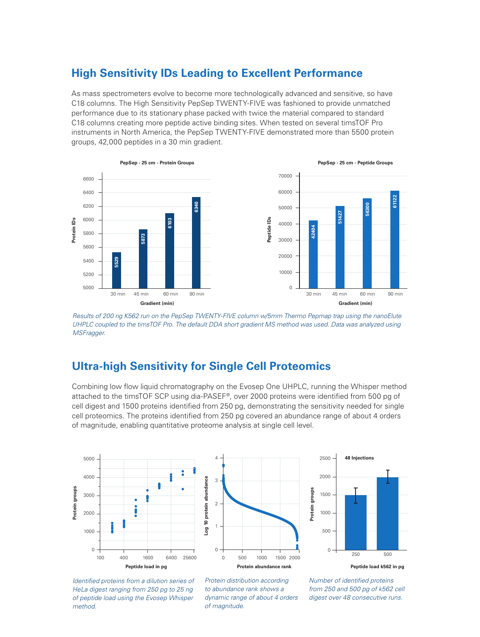#### **High Sensitivity IDs Leading to Excellent Performance**

As mass spectrometers evolve to become more technologically advanced and sensitive, so have C18 columns. The High Sensitivity PepSep TWENTY-FIVE was fashioned to provide unmatched performance due to its stationary phase packed with twice the material compared to standard C18 columns creating more peptide active binding sites. When tested on several timsTOF Pro instruments in North America, the PepSep TWENTY-FIVE demonstrated more than 5500 protein groups, 42,000 peptides in a 30 min gradient.



*Results of 200 ng K562 run on the PepSep TWENTY-FIVE column w/5mm Thermo Pepmap trap using the nanoElute UHPLC coupled to the timsTOF Pro. The default DDA short gradient MS method was used. Data was analyzed using MSFragger.*

## **Ultra-high Sensitivity for Single Cell Proteomics**

Combining low flow liquid chromatography on the Evosep One UHPLC, running the Whisper method attached to the timsTOF SCP using dia-PASEF®, over 2000 proteins were identified from 500 pg of cell digest and 1500 proteins identified from 250 pg, demonstrating the sensitivity needed for single cell proteomics. The proteins identified from 250 pg covered an abundance range of about 4 orders of magnitude, enabling quantitative proteome analysis at single cell level.







*Identified proteins from a dilution series of HeLa digest ranging from 250 pg to 25 ng of peptide load using the Evosep Whisper method.*

*Protein distribution according to abundance rank shows a dynamic range of about 4 orders of magnitude.*

*Number of identified proteins from 250 and 500 pg of k562 cell digest over 48 consecutive runs.*